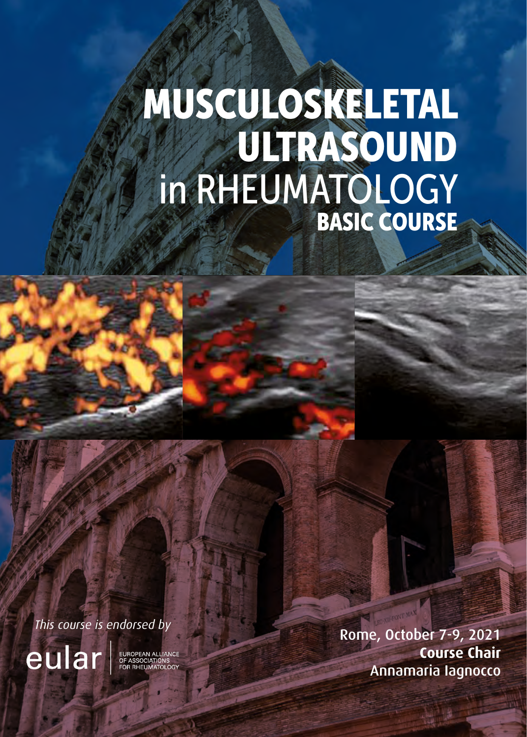# MUSCULOSKELETAL ULTRASOUND in RHEUMATOLOGY BASIC COURSE

*This course is endorsed by*<br> **Rome, October 7-9, 2021**<br> **COURCITE:** EXERCISE COURSE CHAIR **Course Chair** Annamaria Iagnocco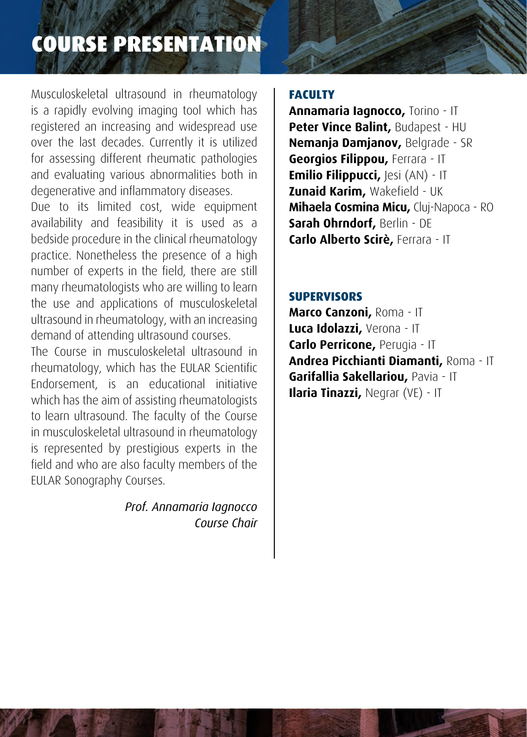# COURSE PRESENTATION

Musculoskeletal ultrasound in rheumatology is a rapidly evolving imaging tool which has registered an increasing and widespread use over the last decades. Currently it is utilized for assessing different rheumatic pathologies and evaluating various abnormalities both in degenerative and inflammatory diseases.

Due to its limited cost, wide equipment availability and feasibility it is used as a bedside procedure in the clinical rheumatology practice. Nonetheless the presence of a high number of experts in the field, there are still many rheumatologists who are willing to learn the use and applications of musculoskeletal ultrasound in rheumatology, with an increasing demand of attending ultrasound courses.

The Course in musculoskeletal ultrasound in rheumatology, which has the EULAR Scientific Endorsement, is an educational initiative which has the aim of assisting rheumatologists to learn ultrasound. The faculty of the Course in musculoskeletal ultrasound in rheumatology is represented by prestigious experts in the field and who are also faculty members of the EULAR Sonography Courses.

> *Prof. Annamaria Iagnocco Course Chair*

# **FACULTY**

**Annamaria Iagnocco,** Torino - IT **Peter Vince Balint,** Budapest - HU **Nemanja Damjanov,** Belgrade - SR **Georgios Filippou,** Ferrara - IT **Emilio Filippucci, Iesi (AN) - IT Zunaid Karim,** Wakefield - UK **Mihaela Cosmina Micu,** Cluj-Napoca - RO **Sarah Ohrndorf,** Berlin - DE **Carlo Alberto Scirè,** Ferrara - IT

# **SUPERVISORS**

**Marco Canzoni,** Roma - IT **Luca Idolazzi,** Verona - IT **Carlo Perricone,** Perugia - IT **Andrea Picchianti Diamanti,** Roma - IT **Garifallia Sakellariou,** Pavia - IT **Ilaria Tinazzi,** Negrar (VE) - IT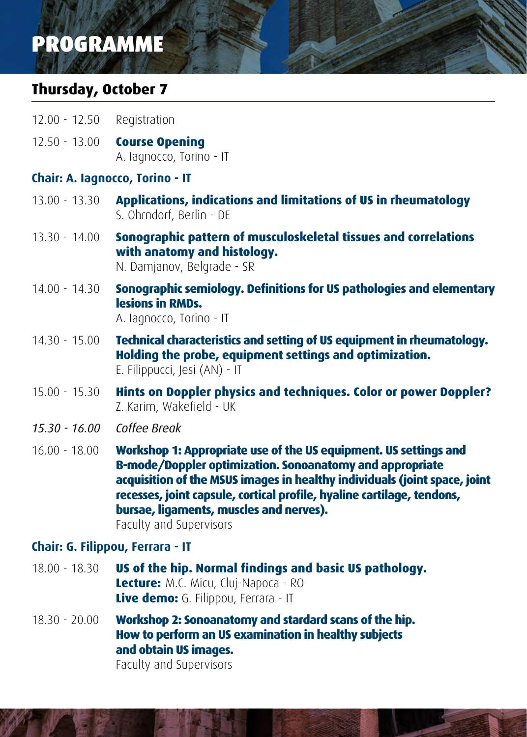# PROGRAMME

# **Thursday, October 7**

- 12.00 12.50 Registration
- 12.50 13.00 **Course Opening** A. Iagnocco, Torino - IT

# **Chair: A. Iagnocco, Torino - IT**

- 13.00 13.30 **Applications, indications and limitations of US in rheumatology** S. Ohrndorf, Berlin - DE
- 13.30 14.00 **Sonographic pattern of musculoskeletal tissues and correlations with anatomy and histology.**
	- N. Damjanov, Belgrade SR
- 14.00 14.30 **Sonographic semiology. Definitions for US pathologies and elementary lesions in RMDs.**

A. Iagnocco, Torino - IT

- 14.30 15.00 **Technical characteristics and setting of US equipment in rheumatology. Holding the probe, equipment settings and optimization.** E. Filippucci, Jesi (AN) - IT
- 15.00 15.30 **Hints on Doppler physics and techniques. Color or power Doppler?**  Z. Karim, Wakefield - UK
- *15.30 16.00 Coffee Break*
- 16.00 18.00 **Workshop 1: Appropriate use of the US equipment. US settings and B-mode/Doppler optimization. Sonoanatomy and appropriate acquisition of the MSUS images in healthy individuals (joint space, joint recesses, joint capsule, cortical profile, hyaline cartilage, tendons, bursae, ligaments, muscles and nerves).**

Faculty and Supervisors

# **Chair: G. Filippou, Ferrara - IT**

- 18.00 18.30 **US of the hip. Normal findings and basic US pathology. Lecture:** M.C. Micu, Cluj-Napoca - RO **Live demo:** G. Filippou, Ferrara - IT
- 18.30 20.00 **Workshop 2: Sonoanatomy and stardard scans of the hip. How to perform an US examination in healthy subjects and obtain US images.**

Faculty and Supervisors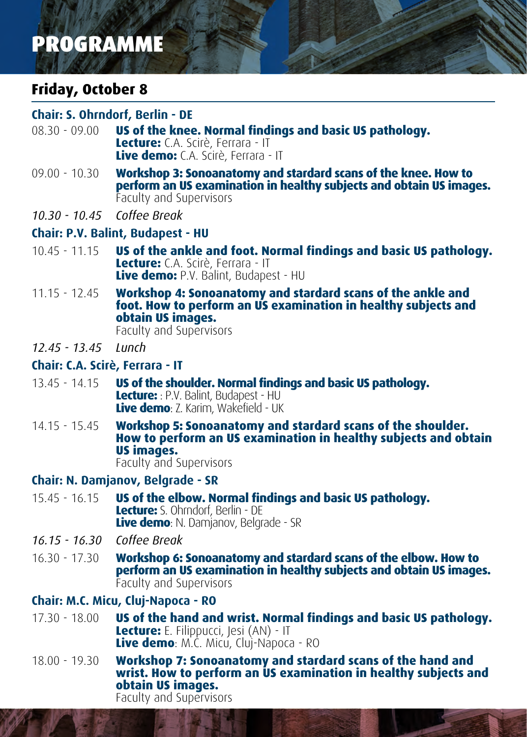# PROGRAMME

# **Friday, October 8**

### **Chair: S. Ohrndorf, Berlin - DE**

- 08.30 09.00 **US of the knee. Normal findings and basic US pathology. Lecture:** C.A. Scirè, Ferrara - IT **Live demo:** C.A. Scirè, Ferrara - IT
- 09.00 10.30 **Workshop 3: Sonoanatomy and stardard scans of the knee. How to perform an US examination in healthy subjects and obtain US images.** Faculty and Supervisors
- *10.30 10.45 Coffee Break*

### **Chair: P.V. Balint, Budapest - HU**

- 10.45 11.15 **US of the ankle and foot. Normal findings and basic US pathology. Lecture:** C.A. Scirè, Ferrara - IT **Live demo:** P.V. Balint, Budapest - HU
- 11.15 12.45 **Workshop 4: Sonoanatomy and stardard scans of the ankle and foot. How to perform an US examination in healthy subjects and obtain US images.** Faculty and Supervisors
- *12.45 13.45 Lunch*

### **Chair: C.A. Scirè, Ferrara - IT**

- 13.45 14.15 **US of the shoulder. Normal findings and basic US pathology. Lecture:** : P.V. Balint, Budapest - HU **Live demo**: Z. Karim, Wakefield - UK
- 14.15 15.45 **Workshop 5: Sonoanatomy and stardard scans of the shoulder. How to perform an US examination in healthy subjects and obtain US images.** Faculty and Supervisors

**Chair: N. Damjanov, Belgrade - SR**

#### 15.45 - 16.15 **US of the elbow. Normal findings and basic US pathology. Lecture:** S. Ohrndorf, Berlin - DE **Live demo**: N. Damjanov, Belgrade - SR

- *16.15 16.30 Coffee Break*
- 16.30 17.30 **Workshop 6: Sonoanatomy and stardard scans of the elbow. How to perform an US examination in healthy subjects and obtain US images.** Faculty and Supervisors

# **Chair: M.C. Micu, Cluj-Napoca - RO**

- 17.30 18.00 **US of the hand and wrist. Normal findings and basic US pathology. Lecture:** E. Filippucci, Jesi (AN) - IT **Live demo**: M.C. Micu, Cluj-Napoca - RO
- 18.00 19.30 **Workshop 7: Sonoanatomy and stardard scans of the hand and wrist. How to perform an US examination in healthy subjects and obtain US images.** Faculty and Supervisors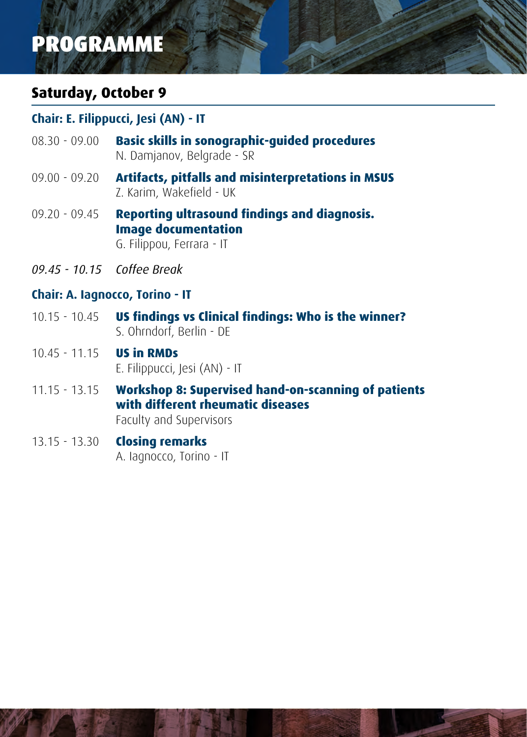# PROGRAMME

# **Saturday, October 9**

# **Chair: E. Filippucci, Jesi (AN) - IT**

- 08.30 09.00 **Basic skills in sonographic-guided procedures** N. Damjanov, Belgrade - SR
- 09.00 09.20 **Artifacts, pitfalls and misinterpretations in MSUS**  Z. Karim, Wakefield - UK
- 09.20 09.45 **Reporting ultrasound findings and diagnosis. Image documentation**  G. Filippou, Ferrara - IT
- *09.45 10.15 Coffee Break*

# **Chair: A. Iagnocco, Torino - IT**

- 10.15 10.45 **US findings vs Clinical findings: Who is the winner?**  S. Ohrndorf, Berlin - DE
- 10.45 11.15 **US in RMDs**  E. Filippucci, Jesi (AN) - IT
- 11.15 13.15 **Workshop 8: Supervised hand-on-scanning of patients with different rheumatic diseases**  Faculty and Supervisors
- 13.15 13.30 **Closing remarks** A. Iagnocco, Torino - IT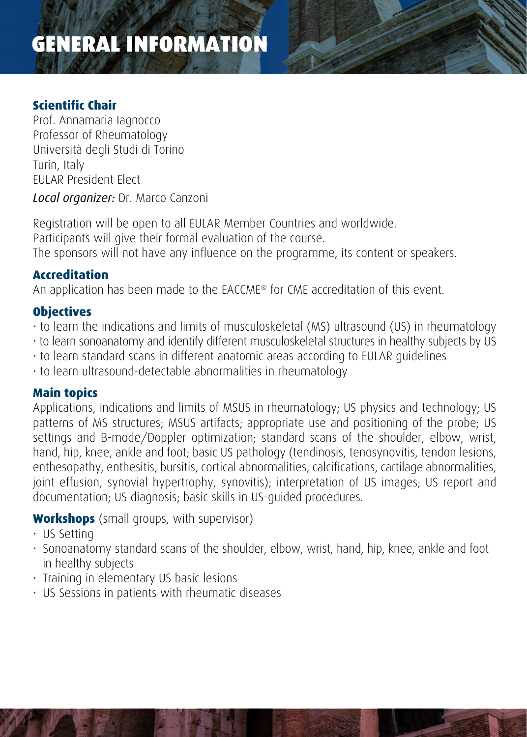# GENERAL INFORMATION

# **Scientific Chair**

Prof. Annamaria Iagnocco Professor of Rheumatology Università degli Studi di Torino Turin, Italy EULAR President Elect

*Local organizer:* Dr. Marco Canzoni

Registration will be open to all EULAR Member Countries and worldwide. Participants will give their formal evaluation of the course. The sponsors will not have any influence on the programme, its content or speakers.

# **Accreditation**

An application has been made to the EACCME® for CME accreditation of this event.

# **Objectives**

- to learn the indications and limits of musculoskeletal (MS) ultrasound (US) in rheumatology
- to learn sonoanatomy and identify different musculoskeletal structures in healthy subjects by US
- to learn standard scans in different anatomic areas according to EULAR guidelines
- to learn ultrasound-detectable abnormalities in rheumatology

# **Main topics**

Applications, indications and limits of MSUS in rheumatology; US physics and technology; US patterns of MS structures; MSUS artifacts; appropriate use and positioning of the probe; US settings and B-mode/Doppler optimization; standard scans of the shoulder, elbow, wrist, hand, hip, knee, ankle and foot; basic US pathology (tendinosis, tenosynovitis, tendon lesions, enthesopathy, enthesitis, bursitis, cortical abnormalities, calcifications, cartilage abnormalities, joint effusion, synovial hypertrophy, synovitis); interpretation of US images; US report and documentation; US diagnosis; basic skills in US-guided procedures.

# **Workshops** (small groups, with supervisor)

- US Setting
- Sonoanatomy standard scans of the shoulder, elbow, wrist, hand, hip, knee, ankle and foot in healthy subjects
- Training in elementary US basic lesions
- US Sessions in patients with rheumatic diseases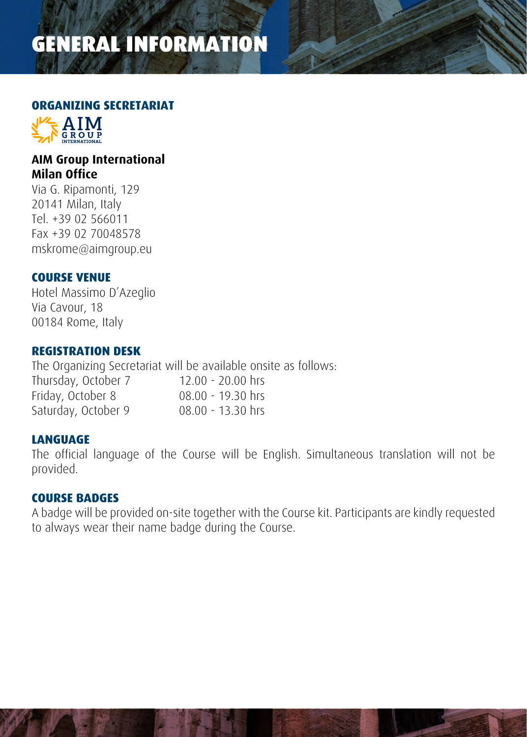# GENERAL INFORMATION

#### **ORGANIZING SECRETARIAT**



# **AIM Group International Milan Office**

Via G. Ripamonti, 129 20141 Milan, Italy Tel. +39 02 566011 Fax +39 02 70048578 mskrome@aimgroup.eu

# **COURSE VENUE**

Hotel Massimo D'Azeglio Via Cavour, 18 00184 Rome, Italy

### **REGISTRATION DESK**

The Organizing Secretariat will be available onsite as follows: Thursday, October 7 12.00 - 20.00 hrs Friday, October 8 08.00 - 19.30 hrs Saturday, October 9 08.00 - 13.30 hrs

# **LANGUAGE**

The official language of the Course will be English. Simultaneous translation will not be provided.

#### **COURSE BADGES**

A badge will be provided on-site together with the Course kit. Participants are kindly requested to always wear their name badge during the Course.